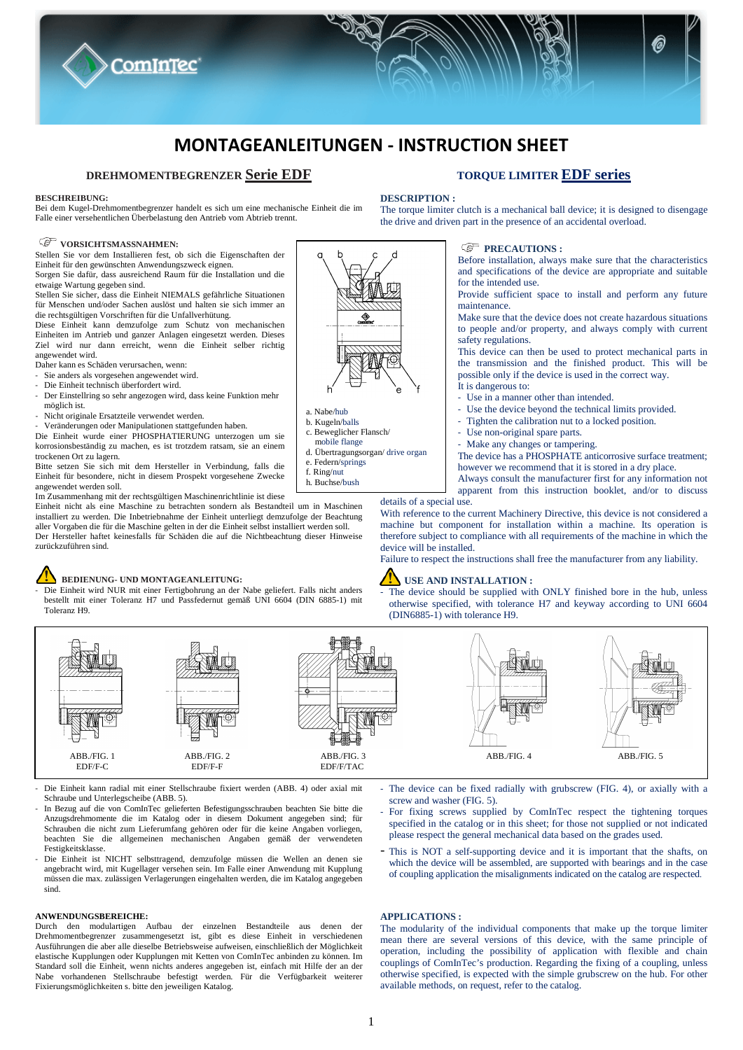

# **DREHMOMENTBEGRENZER Serie EDF**

#### **BESCHREIBUNG:**

Bei dem Kugel-Drehmomentbegrenzer handelt es sich um eine mechanische Einheit die im Falle einer versehentlichen Überbelastung den Antrieb vom Abtrieb trennt.

#### **VORSICHTSMASSNAHMEN:**

Stellen Sie vor dem Installieren fest, ob sich die Eigenschaften der Einheit für den gewünschten Anwendungszweck eignen. Sorgen Sie dafür, dass ausreichend Raum für die Installation und die

**CominTec** 

etwaige Wartung gegeben sind. Stellen Sie sicher, dass die Einheit NIEMALS gefährliche Situationen für Menschen und/oder Sachen auslöst und halten sie sich immer an

die rechtsgültigen Vorschriften für die Unfallverhütung. Diese Einheit kann demzufolge zum Schutz von mechanischen

Einheiten im Antrieb und ganzer Anlagen eingesetzt werden. Dieses Ziel wird nur dann erreicht, wenn die Einheit selber richtig angewendet wird.

- Daher kann es Schäden verursachen, wenn:
- Sie anders als vorgesehen angewendet wird.
- Die Einheit technisch überfordert wird.<br>- Der Einstellring so sehr angezogen wir
- Der Einstellring so sehr angezogen wird, dass keine Funktion mehr möglich ist.
- Nicht originale Ersatzteile verwendet werden.
- Veränderungen oder Manipulationen stattgefunden haben.

Die Einheit wurde einer PHOSPHATIERUNG unterzogen um sie korrosionsbeständig zu machen, es ist trotzdem ratsam, sie an einem trockenen Ort zu lagern.

Bitte setzen Sie sich mit dem Hersteller in Verbindung, falls die Einheit für besondere, nicht in diesem Prospekt vorgesehene Zwecke angewendet werden soll.

Im Zusammenhang mit der rechtsgültigen Maschinenrichtlinie ist diese

Einheit nicht als eine Maschine zu betrachten sondern als Bestandteil um in Maschinen installiert zu werden. Die Inbetriebnahme der Einheit unterliegt demzufolge der Beachtung aller Vorgaben die für die Maschine gelten in der die Einheit selbst installiert werden soll. Der Hersteller haftet keinesfalls für Schäden die auf die Nichtbeachtung dieser Hinweise zurückzuführen sind.

# **BEDIENUNG- UND MONTAGEANLEITUNG:**

- Die Einheit wird NUR mit einer Fertigbohrung an der Nabe geliefert. Falls nicht anders bestellt mit einer Toleranz H7 und Passfedernut gemäß UNI 6604 (DIN 6885-1) mit Toleranz H9.

- a. Nabe/hub
- b. Kugeln/balls c. Beweglicher Flansch/
- mobile flange
- d. Übertragungsorgan/ drive organ
- e. Federn/springs f. Ring/nut
- h. Buchse/bush

# **TORQUE LIMITER EDF series**

# **DESCRIPTION :**

The torque limiter clutch is a mechanical ball device; it is designed to disengage the drive and driven part in the presence of an accidental overload.

# *<b>PRECAUTIONS*:

Before installation, always make sure that the characteristics and specifications of the device are appropriate and suitable for the intended use.

Provide sufficient space to install and perform any future maintenance.

Make sure that the device does not create hazardous situations to people and/or property, and always comply with current safety regulations.

This device can then be used to protect mechanical parts in the transmission and the finished product. This will be possible only if the device is used in the correct way.

- It is dangerous to:
- Use in a manner other than intended.
- Use the device beyond the technical limits provided.
- Tighten the calibration nut to a locked position.
- Use non-original spare parts.
- Make any changes or tampering.

The device has a PHOSPHATE anticorrosive surface treatment; however we recommend that it is stored in a dry place.

Always consult the manufacturer first for any information not apparent from this instruction booklet, and/or to discuss

#### details of a special use.

With reference to the current Machinery Directive, this device is not considered a machine but component for installation within a machine. Its operation is therefore subject to compliance with all requirements of the machine in which the device will be installed.

Failure to respect the instructions shall free the manufacturer from any liability.

# **IN** USE AND INSTALLATION :

The device should be supplied with ONLY finished bore in the hub, unless otherwise specified, with tolerance H7 and keyway according to UNI 6604 (DIN6885-1) with tolerance H9.



- Die Einheit kann radial mit einer Stellschraube fixiert werden (ABB. 4) oder axial mit Schraube und Unterlegscheibe (ABB. 5).

- In Bezug auf die von ComInTec gelieferten Befestigungsschrauben beachten Sie bitte die Anzugsdrehmomente die im Katalog oder in diesem Dokument angegeben sind; für Schrauben die nicht zum Lieferumfang gehören oder für die keine Angaben vorliegen, beachten Sie die allgemeinen mechanischen Angaben gemäß der verwendeten Festigkeitsklasse.
- Die Einheit ist NICHT selbsttragend, demzufolge müssen die Wellen an denen sie angebracht wird, mit Kugellager versehen sein. Im Falle einer Anwendung mit Kupplung müssen die max. zulässigen Verlagerungen eingehalten werden, die im Katalog angegeben sind.

#### **ANWENDUNGSBEREICHE:**

Durch den modulartigen Aufbau der einzelnen Bestandteile aus denen der Drehmomentbegrenzer zusammengesetzt ist, gibt es diese Einheit in verschiedenen Ausführungen die aber alle dieselbe Betriebsweise aufweisen, einschließlich der Möglichkeit elastische Kupplungen oder Kupplungen mit Ketten von ComInTec anbinden zu können. Im Standard soll die Einheit, wenn nichts anderes angegeben ist, einfach mit Hilfe der an der Nabe vorhandenen Stellschraube befestigt werden. Für die Verfügbarkeit weiterer Fixierungsmöglichkeiten s. bitte den jeweiligen Katalog.

- The device can be fixed radially with grubscrew (FIG. 4), or axially with a screw and washer (FIG. 5).
- For fixing screws supplied by ComInTec respect the tightening torques specified in the catalog or in this sheet; for those not supplied or not indicated please respect the general mechanical data based on the grades used.
- This is NOT a self-supporting device and it is important that the shafts, on which the device will be assembled, are supported with bearings and in the case of coupling application the misalignments indicated on the catalog are respected.

#### **APPLICATIONS :**

The modularity of the individual components that make up the torque limiter mean there are several versions of this device, with the same principle of operation, including the possibility of application with flexible and chain couplings of ComInTec's production. Regarding the fixing of a coupling, unless otherwise specified, is expected with the simple grubscrew on the hub. For other available methods, on request, refer to the catalog.